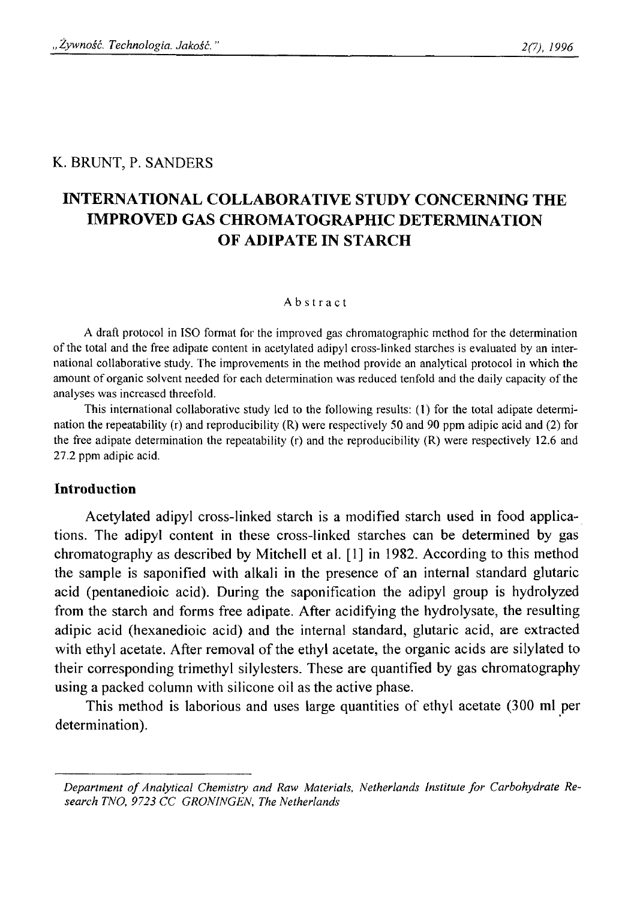## K. BRUNT, P. SANDERS

# **INTERNATIONAL COLLABORATIVE STUDY CONCERNING THE IMPROVED GAS CHROMATOGRAPHIC DETERMINATION OF ADIPATE IN STARCH**

#### Abstract

**A draft protocol in ISO format for the improved gas chromatographic method for the determination** of the total and the free adipate content in acetylated adipyl cross-linked starches is evaluated by an inter**national collaborative study. The improvements in the method provide an analytical protocol in which the** amount of organic solvent needed for each determination was reduced tenfold and the daily capacity of the **analyses was increased threefold.**

**This international collaborative study led to the following results: (1) for the total adipate determination the repeatability (r) and reproducibility (R) were respectively 50 and 90 ppm adipic acid and (2) for the free adipate determination the repeatability (r) and the reproducibility (R) were respectively 12.6 and 27.2 ppm adipic acid.**

#### **Introduction**

Acetylated adipyl cross-linked starch is a modified starch used in food applications. The adipyl content in these cross-linked starches can be determined by gas chromatography as described by Mitchell et al. [1] in 1982. According to this method the sample is saponified with alkali in the presence of an internal standard glutaric acid (pentanedioic acid). During the saponification the adipyl group is hydrolyzed from the starch and forms free adipate. After acidifying the hydrolysate, the resulting adipic acid (hexanedioic acid) and the internal standard, glutaric acid, are extracted with ethyl acetate. After removal of the ethyl acetate, the organic acids are silylated to their corresponding trimethyl silylesters. These are quantified by gas chromatography using a packed column with silicone oil as the active phase.

This method is laborious and uses large quantities of ethyl acetate (300 ml per determination).

Department of Analytical Chemistry and Raw Materials, Netherlands Institute for Carbohydrate Re*search TNO, 9723 CC GRONINGEN, The Netherlands*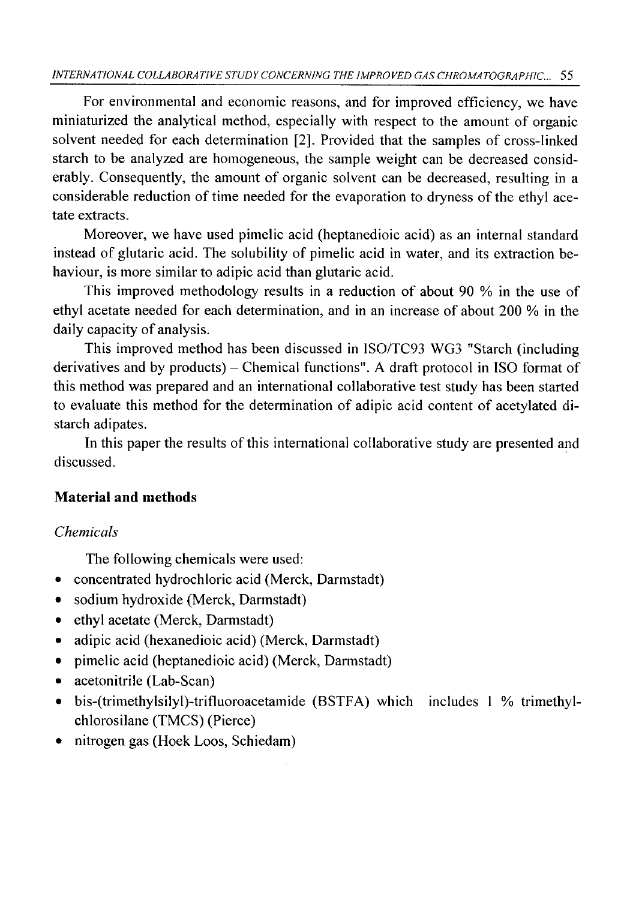## *INTERNATIONAL COLLABORATIVE STUDY CONCERNING THE IMPROVED GAS CHROMATOGRAPHIC...* 55

For environmental and economic reasons, and for improved efficiency, we have miniaturized the analytical method, especially with respect to the amount of organic solvent needed for each determination [2]. Provided that the samples of cross-linked starch to be analyzed are homogeneous, the sample weight can be decreased considerably. Consequently, the amount of organic solvent can be decreased, resulting in a considerable reduction of time needed for the evaporation to dryness of the ethyl acetate extracts.

Moreover, we have used pimelic acid (heptanedioic acid) as an internal standard instead of glutaric acid. The solubility of pimelic acid in water, and its extraction behaviour, is more similar to adipic acid than glutaric acid.

This improved methodology results in a reduction of about 90 % in the use of ethyl acetate needed for each determination, and in an increase of about 200 % in the daily capacity of analysis.

This improved method has been discussed in ISO/TC93 WG3 "Starch (including derivatives and by products) – Chemical functions". A draft protocol in ISO format of this method was prepared and an international collaborative test study has been started to evaluate this method for the determination of adipic acid content of acetylated distarch adipates.

In this paper the results of this international collaborative study are presented and discussed.

## **Material and methods**

# *Chemicals*

The following chemicals were used:

- concentrated hydrochloric acid (Merck, Darmstadt)
- sodium hydroxide (Merck, Darmstadt)
- ethyl acetate (Merck, Darmstadt)
- adipic acid (hexanedioic acid) (Merck, Darmstadt)
- pimelic acid (heptanedioic acid) (Merck, Darmstadt)
- acetonitrile (Lab-Scan)
- bis-(trimethylsilyl)-trifluoroacetamide (BSTFA) which includes 1 % trimethylchlorosilane (TMCS) (Pierce)
- nitrogen gas (Hoek Loos, Schiedam)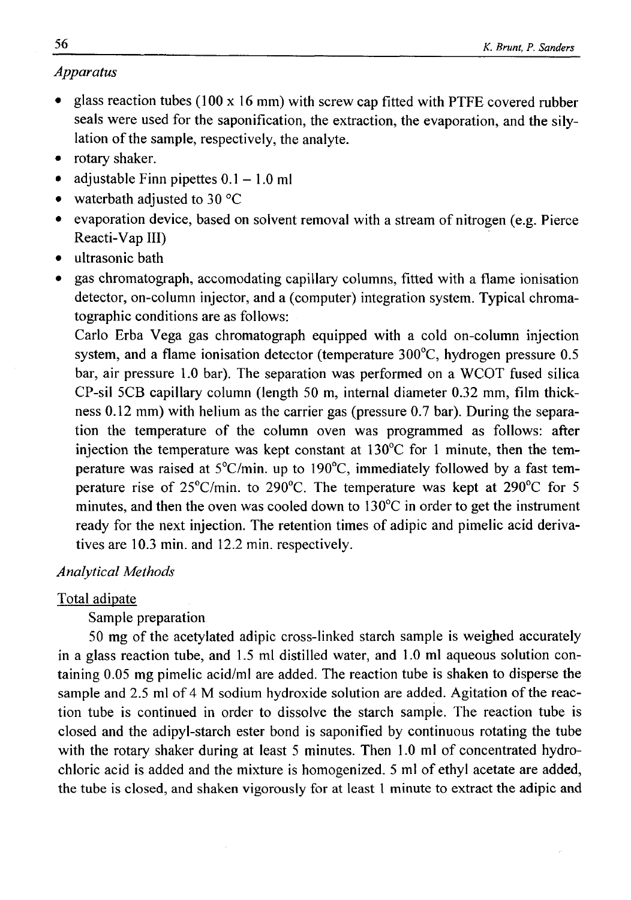## *Apparatus*

- glass reaction tubes (100 x 16 mm) with screw cap fitted with PTFE covered rubber seals were used for the saponification, the extraction, the evaporation, and the silylation of the sample, respectively, the analyte.
- rotary shaker.
- adjustable Finn pipettes  $0.1 1.0$  ml
- waterbath adjusted to 30 °C
- evaporation device, based on solvent removal with a stream of nitrogen (e.g. Pierce Reacti-Vap III)
- ultrasonic bath
- gas chromatograph, accomodating capillary columns, fitted with a flame ionisation detector, on-column injector, and a (computer) integration system. Typical chromatographic conditions are as follows:

Carlo Erba Vega gas chromatograph equipped with a cold on-column injection system, and a flame ionisation detector (temperature 300°C, hydrogen pressure 0.5 bar, air pressure 1.0 bar). The separation was performed on a WCOT fused silica CP-sil 5CB capillary column (length 50 m, internal diameter 0.32 mm, film thickness 0.12 mm) with helium as the carrier gas (pressure 0.7 bar). During the separation the temperature of the column oven was programmed as follows: after injection the temperature was kept constant at 130°C for 1 minute, then the temperature was raised at 5°C/min. up to 190°C, immediately followed by a fast temperature rise of 25°C/min. to 290°C. The temperature was kept at 290°C for 5 minutes, and then the oven was cooled down to 130°C in order to get the instrument ready for the next injection. The retention times of adipic and pimelic acid derivatives are 10.3 min. and 12.2 min. respectively.

## *Analytical Methods*

## Total adipate

Sample preparation

50 mg of the acetylated adipic cross-linked starch sample is weighed accurately in a glass reaction tube, and 1.5 ml distilled water, and 1.0 ml aqueous solution containing 0.05 mg pimelic acid/ml are added. The reaction tube is shaken to disperse the sample and 2.5 ml of 4 M sodium hydroxide solution are added. Agitation of the reaction tube is continued in order to dissolve the starch sample. The reaction tube is closed and the adipyl-starch ester bond is saponified by continuous rotating the tube with the rotary shaker during at least 5 minutes. Then 1.0 ml of concentrated hydrochloric acid is added and the mixture is homogenized. 5 ml of ethyl acetate are added, the tube is closed, and shaken vigorously for at least 1 minute to extract the adipic and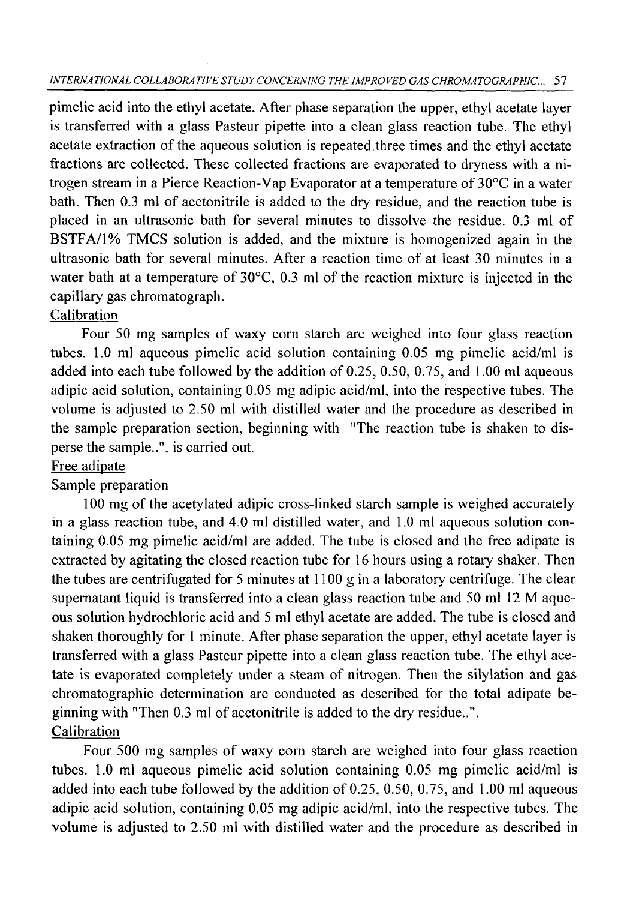## *INTERNATIONAL COLLABORATIVE STUDY CONCERNING THE IMPROVED GAS CHROMATOGRAPHIC... 51*

pimelic acid into the ethyl acetate. After phase separation the upper, ethyl acetate layer is transferred with a glass Pasteur pipette into a clean glass reaction tube. The ethyl acetate extraction of the aqueous solution is repeated three times and the ethyl acetate fractions are collected. These collected fractions are evaporated to dryness with a nitrogen stream in a Pierce Reaction-Vap Evaporator at a temperature of 30°C in a water bath. Then 0.3 ml of acetonitrile is added to the dry residue, and the reaction tube is placed in an ultrasonic bath for several minutes to dissolve the residue. 0.3 mi of BSTFA/1% TMCS solution is added, and the mixture is homogenized again in the ultrasonic bath for several minutes. After a reaction time of at least 30 minutes in a water bath at a temperature of 30°C, 0.3 ml of the reaction mixture is injected in the capillary gas chromatograph.

# **Calibration**

Four 50 mg samples of waxy corn starch are weighed into four glass reaction tubes. 1.0 ml aqueous pimelic acid solution containing 0.05 mg pimelic acid/ml is added into each tube followed by the addition of 0.25, 0.50, 0.75, and 1.00 ml aqueous adipic acid solution, containing 0.05 mg adipic acid/ml, into the respective tubes. The volume is adjusted to 2.50 ml with distilled water and the procedure as described in the sample preparation section, beginning with "The reaction tube is shaken to disperse the sample..", is carried out.

## Free adipate

# Sample preparation

100 mg of the acetylated adipic cross-linked starch sample is weighed accurately in a glass reaction tube, and 4.0 ml distilled water, and 1.0 ml aqueous solution containing 0.05 mg pimelic acid/ml are added. The tube is closed and the free adipate is extracted by agitating the closed reaction tube for 16 hours using a rotary shaker. Then the tubes are centrifugated for 5 minutes at 1100 g in a laboratory centrifuge. The clear supernatant liquid is transferred into a clean glass reaction tube and 50 ml 12 M aqueous solution hydrochloric acid and 5 ml ethyl acetate are added. The tube is closed and shaken thoroughly for 1 minute. After phase separation the upper, ethyl acetate layer is transferred with a glass Pasteur pipette into a clean glass reaction tube. The ethyl acetate is evaporated completely under a steam of nitrogen. Then the silylation and gas chromatographic determination are conducted as described for the total adipate beginning with "Then 0.3 ml of acetonitrile is added to the dry residue..". Calibration

Four 500 mg samples of waxy corn starch are weighed into four glass reaction tubes. 1.0 ml aqueous pimelic acid solution containing 0.05 mg pimelic acid/ml is added into each tube followed by the addition of 0.25, 0.50, 0.75, and 1.00 ml aqueous adipic acid solution, containing 0.05 mg adipic acid/ml, into the respective tubes. The volume is adjusted to 2.50 ml with distilled water and the procedure as described in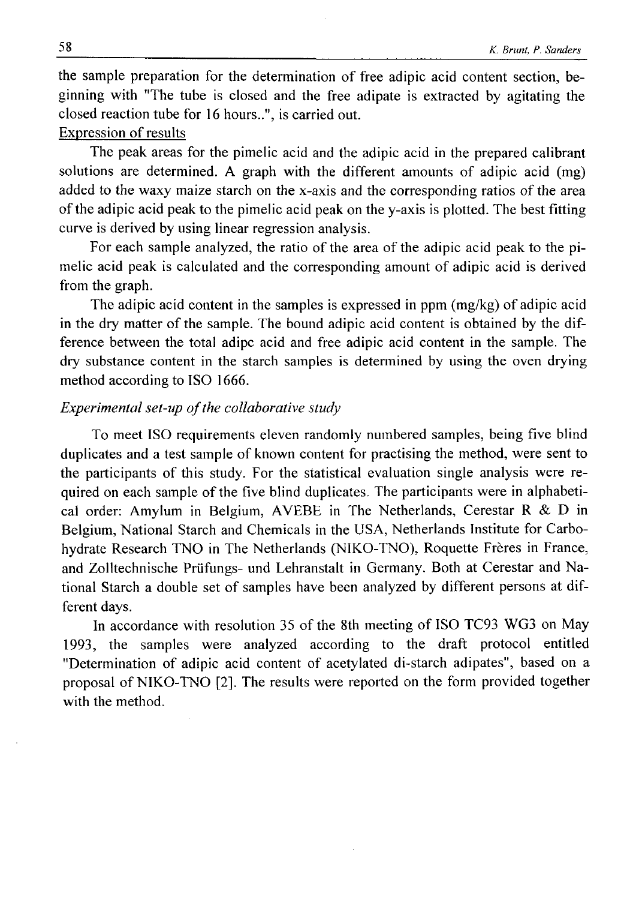the sample preparation for the determination of free adipic acid content section, beginning with "The tube is closed and the free adipate is extracted by agitating the closed reaction tube for 16 hours..", is carried out.

## Expression of results

The peak areas for the pimelic acid and the adipic acid in the prepared calibrant solutions are determined. A graph with the different amounts of adipic acid (mg) added to the waxy maize starch on the x-axis and the corresponding ratios of the area of the adipic acid peak to the pimelic acid peak on the y-axis is plotted. The best fitting curve is derived by using linear regression analysis.

For each sample analyzed, the ratio of the area of the adipic acid peak to the pimelic acid peak is calculated and the corresponding amount of adipic acid is derived from the graph.

The adipic acid content in the samples is expressed in ppm (mg/kg) of adipic acid in the dry matter of the sample. The bound adipic acid content is obtained by the difference between the total adipc acid and free adipic acid content in the sample. The dry substance content in the starch samples is determined by using the oven drying method according to ISO 1666.

## *Experimental set-up of the collaborative study*

To meet ISO requirements eleven randomly numbered samples, being five blind duplicates and a test sample of known content for practising the method, were sent to the participants of this study. For the statistical evaluation single analysis were required on each sample of the five blind duplicates. The participants were in alphabetical order: Amylum in Belgium, AVEBE in The Netherlands, Cerestar R  $\&$  D in Belgium, National Starch and Chemicals in the USA, Netherlands Institute for Carbohydrate Research TNO in The Netherlands (NIKO-TNO), Roquette Frères in France, and Zolltechnische Priifungs- und Lehranstalt in Germany. Both at Cerestar and National Starch a double set of samples have been analyzed by different persons at different days.

In accordance with resolution 35 of the 8th meeting of ISO TC93 WG3 on May 1993, the samples were analyzed according to the draft protocol entitled "Determination of adipic acid content of acetylated di-starch adipates", based on a proposal of NIKO-TNO [2]. The results were reported on the form provided together with the method.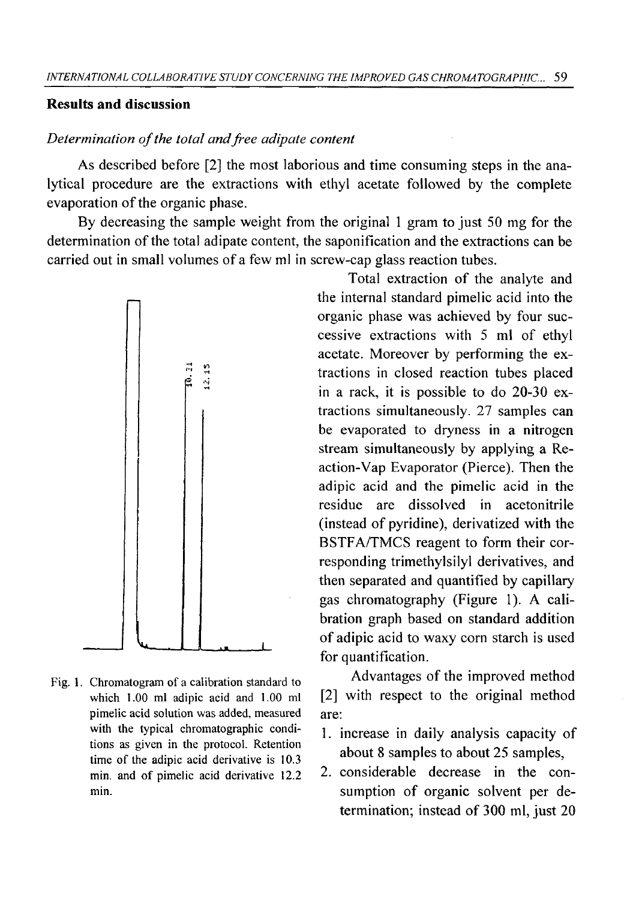## **Results and discussion**

### Determination of the total and free adipate content

As described before [2] the most laborious and time consuming steps in the analytical procedure are the extractions with ethyl acetate followed by the complete evaporation of the organic phase.

By decreasing the sample weight from the original 1 gram to just 50 mg for the determination of the total adipate content, the saponification and the extractions can be carried out in small volumes of a few ml in screw-cap glass reaction tubes.



**Fig. 1. Chromatogram of a calibration standard to which 1.00 ml adipic acid and 1.00 ml pimelic acid solution was added, measured with the typical chromatographic conditions as given in the protocol. Retention** time of the adipic acid derivative is 10.3 min. and of pimelic acid derivative 12.2 **min.**

Total extraction of the analyte and the internal standard pimelic acid into the organic phase was achieved by four successive extractions with 5 ml of ethyl acetate. Moreover by performing the extractions in closed reaction tubes placed in a rack, it is possible to do 20-30 extractions simultaneously. 27 samples can be evaporated to dryness in a nitrogen stream simultaneously by applying a Reaction-Vap Evaporator (Pierce). Then the adipic acid and the pimelic acid in the residue are dissolved in acetonitrile (instead of pyridine), derivatized with the BSTFA/TMCS reagent to form their corresponding trimethylsilyl derivatives, and then separated and quantified by capillary gas chromatography (Figure 1). A calibration graph based on standard addition of adipic acid to waxy corn starch is used for quantification.

Advantages of the improved method [2] with respect to the original method are:

- 1. increase in daily analysis capacity of about 8 samples to about 25 samples,
- 2. considerable decrease in the consumption of organic solvent per determination; instead of 300 ml, just 20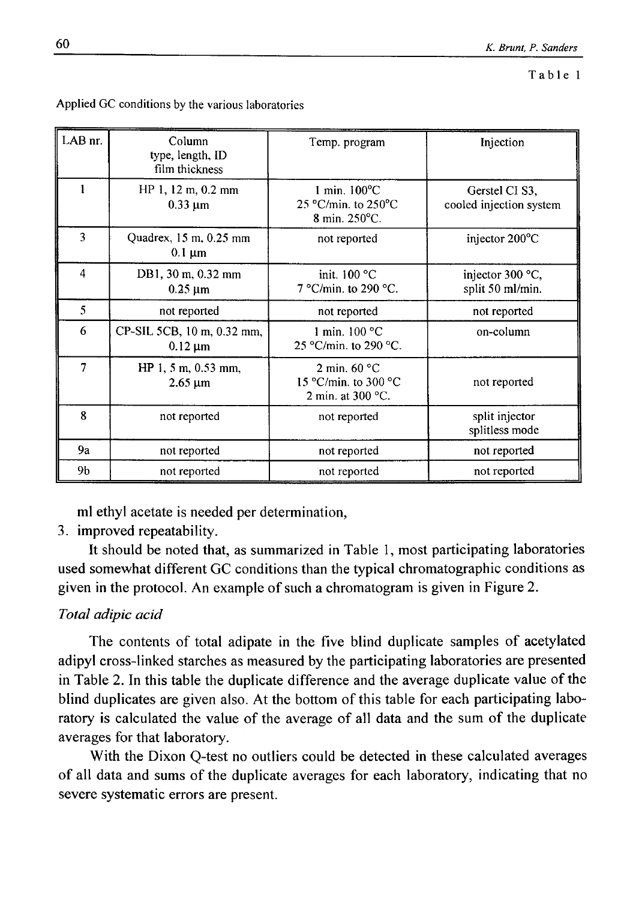| LAB nr.        | Column<br>type, length, ID<br>film thickness     | Temp. program                                                              | Injection                                 |
|----------------|--------------------------------------------------|----------------------------------------------------------------------------|-------------------------------------------|
| 1              | HP 1, 12 m, 0.2 mm<br>$0.33 \mu m$               | $1$ min. $100^{\circ}$ C<br>25 °C/min. to 250°C<br>8 min. $250^{\circ}$ C. | Gerstel CI S3,<br>cooled injection system |
| 3              | Quadrex, 15 m, 0.25 mm<br>$0.1 \mu m$            | not reported                                                               | injector 200°C                            |
| $\overline{4}$ | DB1, 30 m, 0.32 mm<br>$0.25 \mu m$               | init. $100 °C$<br>7 °C/min. to 290 °C.                                     | injector 300 °C,<br>split 50 ml/min.      |
| 5              | not reported                                     | not reported                                                               | not reported                              |
| 6              | CP-SIL 5CB, 10 m, 0.32 mm,<br>$0.12 \mu m$       | 1 min. $100 °C$<br>25 °C/min. to 290 °C.                                   | on-column                                 |
| 7              | HP 1, 5 m, $0.53$ mm,<br>$2.65 \,\mathrm{\mu m}$ | 2 min. $60 °C$<br>15 °C/min. to 300 °C<br>2 min. at $300^{\circ}$ C.       | not reported                              |
| 8              | not reported                                     | not reported                                                               | split injector<br>splitless mode          |
| 9a             | not reported                                     | not reported                                                               | not reported                              |
| 9b             | not reported                                     | not reported                                                               | not reported                              |

**Applied GC conditions by the various laboratories**

ml ethyl acetate is needed per determination,

# 3. improved repeatability.

It should be noted that, as summarized in Table 1, most participating laboratories used somewhat different GC conditions than the typical chromatographic conditions as given in the protocol. An example of such a chromatogram is given in Figure 2.

# *Total adipic acid*

The contents of total adipate in the five blind duplicate samples of acetylated adipyl cross-linked starches as measured by the participating laboratories are presented in Table 2. In this table the duplicate difference and the average duplicate value of the blind duplicates are given also. At the bottom of this table for each participating laboratory is calculated the value of the average of all data and the sum of the duplicate averages for that laboratory.

With the Dixon Q-test no outliers could be detected in these calculated averages of all data and sums of the duplicate averages for each laboratory, indicating that no severe systematic errors are present.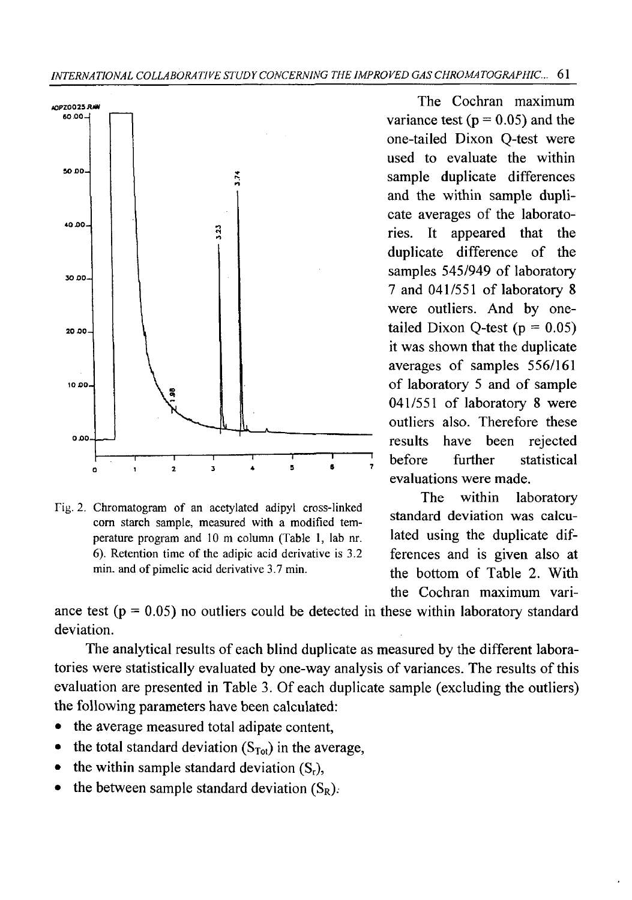

Fig. 2. Chromatogram of an acetylated adipyl cross-linked **corn starch sample, measured with a modified temperature program and 10 m column (Table 1, lab nr.** 6). Retention time of the adipic acid derivative is 3.2 min. and of pimelic acid derivative 3.7 min.

variance test ( $p = 0.05$ ) and the one-tailed Dixon Q-test were used to evaluate the within sample duplicate differences and the within sample duplicate averages of the laboratories. It appeared that the duplicate difference of the samples 545/949 of laboratory 7 and 041/551 of laboratory 8 were outliers. And by onetailed Dixon Q-test  $(p = 0.05)$ it was shown that the duplicate averages of samples 556/161 of laboratory 5 and of sample 041/551 of laboratory 8 were outliers also. Therefore these results have been rejected before further statistical evaluations were made.

The within laboratory standard deviation was calculated using the duplicate differences and is given also at the bottom of Table 2. With the Cochran maximum vari-

ance test  $(p = 0.05)$  no outliers could be detected in these within laboratory standard deviation.

The analytical results of each blind duplicate as measured by the different laboratories were statistically evaluated by one-way analysis of variances. The results of this evaluation are presented in Table 3. Of each duplicate sample (excluding the outliers) the following parameters have been calculated:

- the average measured total adipate content,
- the total standard deviation  $(S_{Tot})$  in the average,
- the within sample standard deviation  $(S_r)$ ,
- the between sample standard deviation  $(S_R)$ .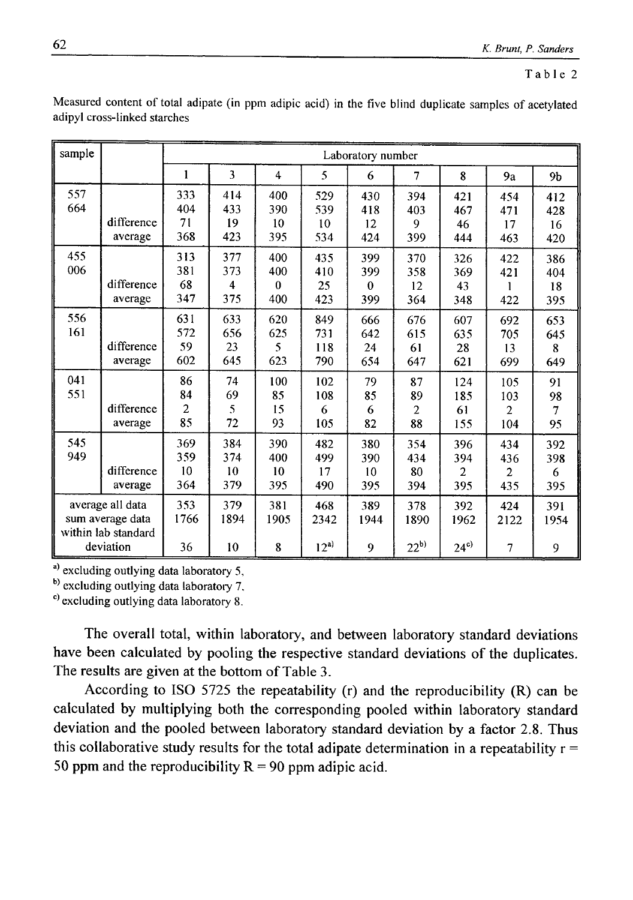| sample                                                                   |                       | Laboratory number              |                                              |                               |                          |                               |                         |                                     |                                     |                                  |
|--------------------------------------------------------------------------|-----------------------|--------------------------------|----------------------------------------------|-------------------------------|--------------------------|-------------------------------|-------------------------|-------------------------------------|-------------------------------------|----------------------------------|
|                                                                          |                       | 1                              | 3                                            | $\overline{4}$                | 5                        | 6                             | 7                       | 8                                   | 9a                                  | 9b                               |
| 557<br>664                                                               | difference<br>average | 333<br>404<br>71<br>368        | 414<br>433<br>19<br>423                      | 400<br>390<br>10<br>395       | 529<br>539<br>10<br>534  | 430<br>418<br>12<br>424       | 394<br>403<br>9<br>399  | 421<br>467<br>46<br>444             | 454<br>471<br>17<br>463             | 412<br>428<br>16<br>420          |
| 455<br>006                                                               | difference<br>average | 313<br>381<br>68<br>347        | 377<br>373<br>$\overline{\mathbf{4}}$<br>375 | 400<br>400<br>$\bf{0}$<br>400 | 435<br>410<br>25<br>423  | 399<br>399<br>$\theta$<br>399 | 370<br>358<br>12<br>364 | 326<br>369<br>43<br>348             | 422<br>421<br>1<br>422              | 386<br>404<br>18<br>395          |
| 556<br>161                                                               | difference<br>average | 631<br>572<br>59<br>602        | 633<br>656<br>23<br>645                      | 620<br>625<br>5<br>623        | 849<br>731<br>118<br>790 | 666<br>642<br>24<br>654       | 676<br>615<br>61<br>647 | 607<br>635<br>28<br>621             | 692<br>705<br>13<br>699             | 653<br>645<br>8<br>649           |
| 041<br>551                                                               | difference<br>average | 86<br>84<br>$\mathbf{2}$<br>85 | 74<br>69<br>5<br>72                          | 100<br>85<br>15<br>93         | 102<br>108<br>6<br>105   | 79<br>85<br>6<br>82           | 87<br>89<br>2<br>88     | 124<br>185<br>61<br>155             | 105<br>103<br>$\overline{2}$<br>104 | 91<br>98<br>$\overline{7}$<br>95 |
| 545<br>949                                                               | difference<br>average | 369<br>359<br>10<br>364        | 384<br>374<br>10<br>379                      | 390<br>400<br>10<br>395       | 482<br>499<br>17<br>490  | 380<br>390<br>10<br>395       | 354<br>434<br>80<br>394 | 396<br>394<br>$\overline{c}$<br>395 | 434<br>436<br>2<br>435              | 392<br>398<br>6<br>395           |
| average all data<br>sum average data<br>within lab standard<br>deviation |                       | 353<br>1766<br>36              | 379<br>1894<br>10                            | 381<br>1905<br>8              | 468<br>2342<br>$12^{a}$  | 389<br>1944<br>9              | 378<br>1890<br>$22^{b}$ | 392<br>1962<br>$24^{\circ}$         | 424<br>2122<br>7                    | 391<br>1954<br>9                 |

Measured content of total adipate (in ppm adipic acid) in the five blind duplicate samples of acetylated **adipyl cross-linked starches**

**a) excluding outlying data laboratory 5,**

**b) excluding outlying data laboratory 7,**

**c) excluding outlying data laboratory 8.**

The overall total, within laboratory, and between laboratory standard deviations have been calculated by pooling the respective standard deviations of the duplicates. The results are given at the bottom of Table 3.

According to ISO 5725 the repeatability  $(r)$  and the reproducibility  $(R)$  can be calculated by multiplying both the corresponding pooled within laboratory standard deviation and the pooled between laboratory standard deviation by a factor 2.8. Thus this collaborative study results for the total adipate determination in a repeatability  $r =$ 50 ppm and the reproducibility  $R = 90$  ppm adipic acid.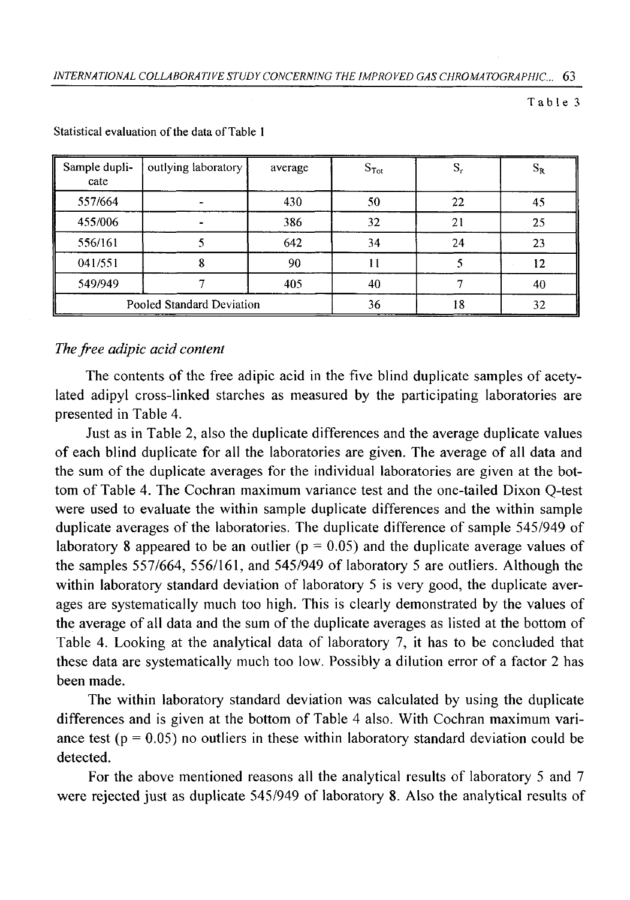| Sample dupli-<br>cate | outlying laboratory       | average | $S_{Tot}$ | S, | $\mathrm{S_{R}}$ |
|-----------------------|---------------------------|---------|-----------|----|------------------|
| 557/664               |                           | 430     | 50        | 22 | 45               |
| 455/006               |                           | 386     | 32        | 21 | 25               |
| 556/161               |                           | 642     | 34        | 24 | 23               |
| 041/551               |                           | 90      |           |    | 12               |
| 549/949               |                           | 405     | 40        |    | 40               |
|                       | Pooled Standard Deviation |         | 36        | 18 | 32               |

**Statistical evaluation of the data of Table 1** 

## *The free adipic acid content*

The contents of the free adipic acid in the five blind duplicate samples of acetylated adipyl cross-linked starches as measured by the participating laboratories are presented in Table 4.

Just as in Table 2, also the duplicate differences and the average duplicate values of each blind duplicate for all the laboratories are given. The average of all data and the sum of the duplicate averages for the individual laboratories are given at the bottom of Table 4. The Cochran maximum variance test and the one-tailed Dixon Q-test were used to evaluate the within sample duplicate differences and the within sample duplicate averages of the laboratories. The duplicate difference of sample 545/949 of laboratory 8 appeared to be an outlier ( $p = 0.05$ ) and the duplicate average values of the samples 557/664, 556/161, and 545/949 of laboratory 5 are outliers. Although the within laboratory standard deviation of laboratory 5 is very good, the duplicate averages are systematically much too high. This is clearly demonstrated by the values of the average of all data and the sum of the duplicate averages as listed at the bottom of Table 4. Looking at the analytical data of laboratory 7, it has to be concluded that these data are systematically much too low. Possibly a dilution error of a factor 2 has been made.

The within laboratory standard deviation was calculated by using the duplicate differences and is given at the bottom of Table 4 also. With Cochran maximum variance test ( $p = 0.05$ ) no outliers in these within laboratory standard deviation could be detected.

For the above mentioned reasons all the analytical results of laboratory 5 and 7 were rejected just as duplicate 545/949 of laboratory 8. Also the analytical results of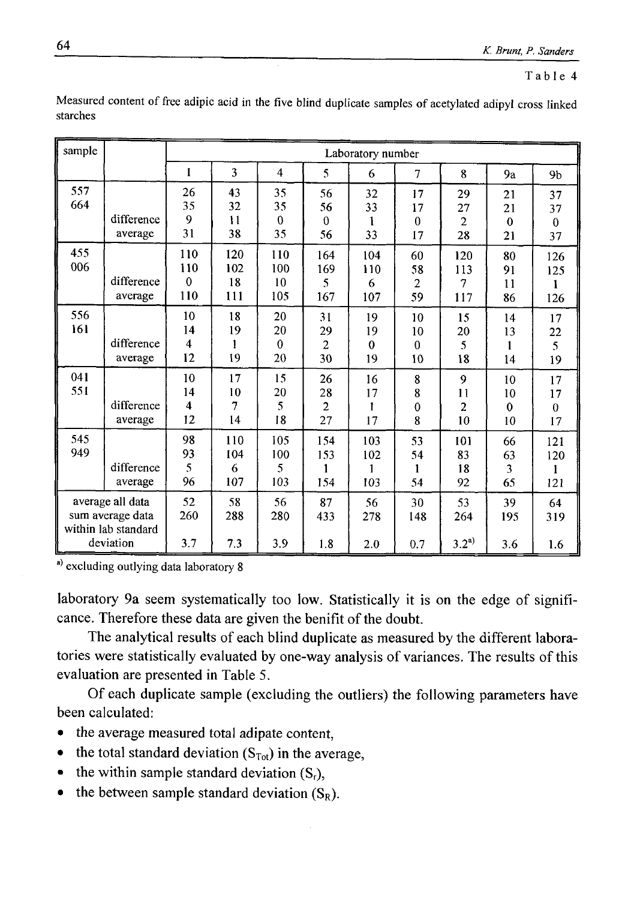| sample                                                                   |                       | Laboratory number                |                         |                                |                                  |                            |                                  |                                  |                                |                                    |
|--------------------------------------------------------------------------|-----------------------|----------------------------------|-------------------------|--------------------------------|----------------------------------|----------------------------|----------------------------------|----------------------------------|--------------------------------|------------------------------------|
|                                                                          |                       | 1                                | 3                       | $\overline{\bf{4}}$            | 5                                | 6                          | 7                                | 8                                | 9a                             | 9 <sub>b</sub>                     |
| 557<br>664                                                               | difference<br>average | 26<br>35<br>9<br>31              | 43<br>32<br>11<br>38    | 35<br>35<br>$\mathbf{0}$<br>35 | 56<br>56<br>$\theta$<br>56       | 32<br>33<br>1<br>33        | 17<br>17<br>$\mathbf{0}$<br>17   | 29<br>27<br>$\overline{2}$<br>28 | 21<br>21<br>$\mathbf 0$<br>21  | 37<br>37<br>$\boldsymbol{0}$<br>37 |
| 455<br>006                                                               | difference<br>average | 110<br>110<br>$\theta$<br>110    | 120<br>102<br>18<br>111 | 110<br>100<br>10<br>105        | 164<br>169<br>5<br>167           | 104<br>110<br>6<br>107     | 60<br>58<br>$\overline{c}$<br>59 | 120<br>113<br>7<br>117           | 80<br>91<br>11<br>86           | 126<br>125<br>1<br>126             |
| 556<br>161                                                               | difference<br>average | 10<br>14<br>$\overline{4}$<br>12 | 18<br>19<br>19          | 20<br>20<br>$\theta$<br>20     | 31<br>29<br>$\overline{2}$<br>30 | 19<br>19<br>$\theta$<br>19 | 10<br>10<br>$\bf{0}$<br>10       | 15<br>20<br>5<br>18              | 14<br>13<br>1<br>14            | 17<br>22<br>5<br>19                |
| 041<br>551                                                               | difference<br>average | 10<br>14<br>4<br>12              | 17<br>10<br>7<br>14     | 15<br>20<br>5<br>18            | 26<br>28<br>$\overline{2}$<br>27 | 16<br>17<br>1<br>17        | 8<br>8<br>$\mathbf 0$<br>8       | 9<br>11<br>$\overline{2}$<br>10  | 10<br>10<br>$\mathbf{0}$<br>10 | 17<br>17<br>$\boldsymbol{0}$<br>17 |
| 545<br>949                                                               | difference<br>average | 98<br>93<br>5<br>96              | 110<br>104<br>6<br>107  | 105<br>100<br>5<br>103         | 154<br>153<br>1<br>154           | 103<br>102<br>1<br>103     | 53<br>54<br>$\mathbf{1}$<br>54   | 101<br>83<br>18<br>92            | 66<br>63<br>3<br>65            | 121<br>120<br>$\mathbf{1}$<br>121  |
| average all data<br>sum average data<br>within lab standard<br>deviation |                       | 52<br>260<br>3.7                 | 58<br>288<br>7.3        | 56<br>280<br>3.9               | 87<br>433<br>1.8                 | 56<br>278<br>2.0           | 30<br>148<br>0.7                 | 53<br>264<br>$3.2^{a}$           | 39<br>195<br>3.6               | 64<br>319<br>1.6                   |

Measured content of free adipic acid in the five blind duplicate samples of acetylated adipyl cross linked **starches**

**a) excluding outlying data laboratory 8**

laboratory 9a seem systematically too low. Statistically it is on the edge of significance. Therefore these data are given the beniflt of the doubt.

The analytical results of each blind duplicate as measured by the different laboratories were statistically evaluated by one-way analysis of variances. The results of this evaluation are presented in Table 5.

Of each duplicate sample (excluding the outliers) the following parameters have been calculated:

- the average measured total adipate content,
- the total standard deviation  $(S<sub>Tot</sub>)$  in the average,
- the within sample standard deviation  $(S_r)$ ,
- the between sample standard deviation  $(S_R)$ .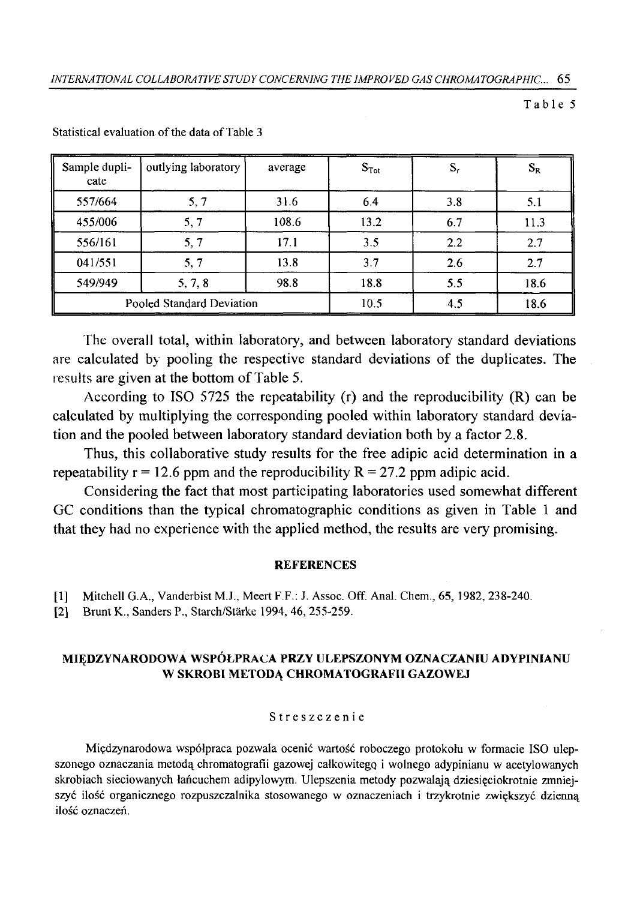| Sample dupli-<br>cate | outlying laboratory       | average | $S_{\text{Tot}}$ | S,  | $S_R$ |
|-----------------------|---------------------------|---------|------------------|-----|-------|
| 557/664               | 5, 7                      | 31.6    | 6.4              | 3.8 | 5.1   |
| 455/006               | 5, 7                      | 108.6   | 13.2             | 6.7 | 11.3  |
| 556/161               | 5, 7                      | 17.1    | 3.5              | 2.2 | 2.7   |
| 041/551               | 5, 7                      | 13.8    | 3.7              | 2.6 | 2.7   |
| 549/949               | 5, 7, 8                   | 98.8    | 18.8             | 5.5 | 18.6  |
|                       | Pooled Standard Deviation |         | 10.5             | 4.5 | 18.6  |

**Statistical evaluation of the data of Table 3** 

The overall total, within laboratory, and between laboratory standard deviations are calculated by pooling the respective standard deviations of the duplicates. The results are given at the bottom of Table 5.

According to ISO 5725 the repeatability (r) and the reproducibility (R) can be calculated by multiplying the corresponding pooled within laboratory standard deviation and the pooled between laboratory standard deviation both by a factor 2.8.

Thus, this collaborative study results for the free adipic acid determination in a repeatability  $r = 12.6$  ppm and the reproducibility  $R = 27.2$  ppm adipic acid.

Considering the fact that most participating laboratories used somewhat different GC conditions than the typical chromatographic conditions as given in Table 1 and that they had no experience with the applied method, the results are very promising.

#### **REFERENCES**

- **[1] Mitchell G.A., Vanderbist M.J., Meert F.F.: J. Assoc. Off. Anal. Chem., 65, 1982, 238-240.**
- [2] Brunt K., Sanders P., Starch/Stärke 1994, 46, 255-259.

### **MIĘDZYNARODOWA W SPÓŁPRACA PRZY ULEPSZONYM OZNACZANIU ADYPINIANU W SKROBI METODĄ CHROMATOGRAFII GAZOWEJ**

#### **Streszczenie**

**Międzynarodowa współpraca pozwala ocenić wartość roboczego protokołu w formacie ISO ulep**szonego oznaczania metodą chromatografii gazowej całkowitego i wolnego adypinianu w acetylowanych **skrobiach sieciowanych łańcuchem adipylowym. Ulepszenia metody pozwalają dziesięciokrotnie zmniejszyć ilość organicznego rozpuszczalnika stosowanego w oznaczeniach i trzykrotnie zwiększyć dzienną ilość oznaczeń.**